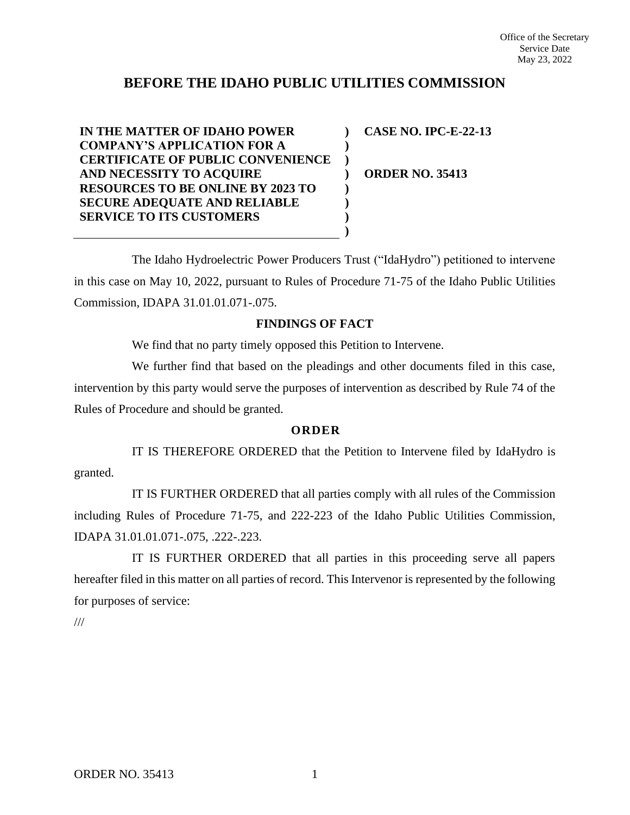## **BEFORE THE IDAHO PUBLIC UTILITIES COMMISSION**

**IN THE MATTER OF IDAHO POWER COMPANY'S APPLICATION FOR A CERTIFICATE OF PUBLIC CONVENIENCE AND NECESSITY TO ACQUIRE RESOURCES TO BE ONLINE BY 2023 TO SECURE ADEQUATE AND RELIABLE SERVICE TO ITS CUSTOMERS ) ) ) ) ) ) )**

**CASE NO. IPC-E-22-13**

**ORDER NO. 35413**

The Idaho Hydroelectric Power Producers Trust ("IdaHydro") petitioned to intervene in this case on May 10, 2022, pursuant to Rules of Procedure 71-75 of the Idaho Public Utilities Commission, IDAPA 31.01.01.071-.075.

**)**

## **FINDINGS OF FACT**

We find that no party timely opposed this Petition to Intervene.

We further find that based on the pleadings and other documents filed in this case, intervention by this party would serve the purposes of intervention as described by Rule 74 of the Rules of Procedure and should be granted.

## **O R D E R**

IT IS THEREFORE ORDERED that the Petition to Intervene filed by IdaHydro is granted.

IT IS FURTHER ORDERED that all parties comply with all rules of the Commission including Rules of Procedure 71-75, and 222-223 of the Idaho Public Utilities Commission, IDAPA 31.01.01.071-.075, .222-.223.

IT IS FURTHER ORDERED that all parties in this proceeding serve all papers hereafter filed in this matter on all parties of record. This Intervenor is represented by the following for purposes of service:

///